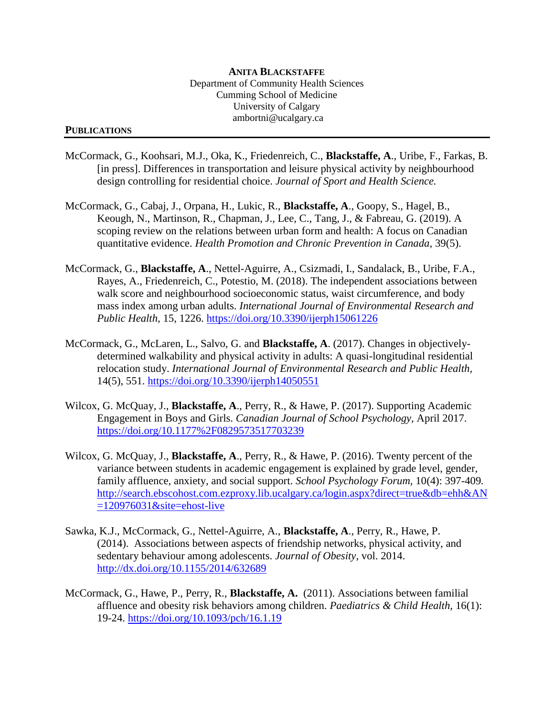## **PUBLICATIONS**

- McCormack, G., Koohsari, M.J., Oka, K., Friedenreich, C., **Blackstaffe, A**., Uribe, F., Farkas, B. [in press]. Differences in transportation and leisure physical activity by neighbourhood design controlling for residential choice. *Journal of Sport and Health Science.*
- McCormack, G., Cabaj, J., Orpana, H., Lukic, R., **Blackstaffe, A**., Goopy, S., Hagel, B., Keough, N., Martinson, R., Chapman, J., Lee, C., Tang, J., & Fabreau, G. (2019). A scoping review on the relations between urban form and health: A focus on Canadian quantitative evidence. *Health Promotion and Chronic Prevention in Canada,* 39(5).
- McCormack, G., **Blackstaffe, A**., Nettel-Aguirre, A., Csizmadi, I., Sandalack, B., Uribe, F.A., Rayes, A., Friedenreich, C., Potestio, M. (2018). The independent associations between walk score and neighbourhood socioeconomic status, waist circumference, and body mass index among urban adults. *International Journal of Environmental Research and Public Health,* 15, 1226. <https://doi.org/10.3390/ijerph15061226>
- McCormack, G., McLaren, L., Salvo, G. and **Blackstaffe, A**. (2017). Changes in objectivelydetermined walkability and physical activity in adults: A quasi-longitudinal residential relocation study. *International Journal of Environmental Research and Public Health,*  14(5), 551.<https://doi.org/10.3390/ijerph14050551>
- Wilcox, G. McQuay, J., **Blackstaffe, A**., Perry, R., & Hawe, P. (2017). Supporting Academic Engagement in Boys and Girls. *Canadian Journal of School Psychology,* April 2017. <https://doi.org/10.1177%2F0829573517703239>
- Wilcox, G. McQuay, J., **Blackstaffe, A**., Perry, R., & Hawe, P. (2016). Twenty percent of the variance between students in academic engagement is explained by grade level, gender, family affluence, anxiety, and social support. *School Psychology Forum,* 10(4): 397-409*.* [http://search.ebscohost.com.ezproxy.lib.ucalgary.ca/login.aspx?direct=true&db=ehh&AN](http://search.ebscohost.com.ezproxy.lib.ucalgary.ca/login.aspx?direct=true&db=ehh&AN=120976031&site=ehost-live)  $=120976031$ &site=ehost-live
- Sawka, K.J., McCormack, G., Nettel-Aguirre, A., **Blackstaffe, A**., Perry, R., Hawe, P. (2014). Associations between aspects of friendship networks, physical activity, and sedentary behaviour among adolescents. *Journal of Obesity*, vol. 2014. <http://dx.doi.org/10.1155/2014/632689>
- McCormack, G., Hawe, P., Perry, R., **Blackstaffe, A.** (2011). Associations between familial affluence and obesity risk behaviors among children. *Paediatrics & Child Health,* 16(1): 19-24. <https://doi.org/10.1093/pch/16.1.19>